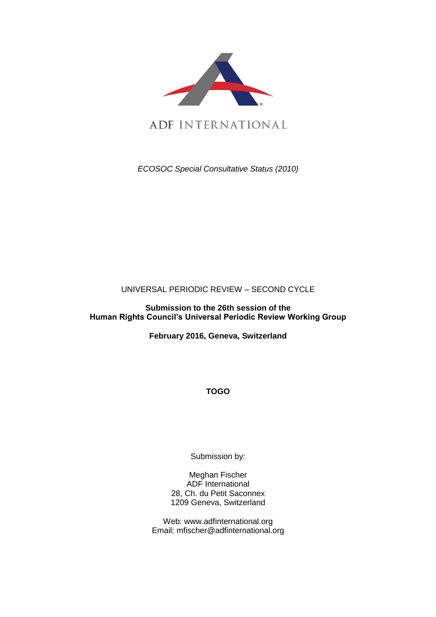

*ECOSOC Special Consultative Status (2010)*

# UNIVERSAL PERIODIC REVIEW – SECOND CYCLE

## **Submission to the 26th session of the Human Rights Council's Universal Periodic Review Working Group**

**February 2016, Geneva, Switzerland**

**TOGO**

Submission by:

Meghan Fischer ADF International 28, Ch. du Petit Saconnex 1209 Geneva, Switzerland

Web: www.adfinternational.org Email: mfischer@adfinternational.org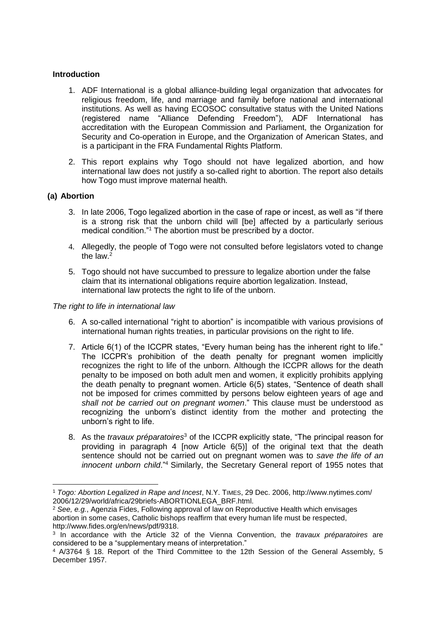### **Introduction**

- 1. ADF International is a global alliance-building legal organization that advocates for religious freedom, life, and marriage and family before national and international institutions. As well as having ECOSOC consultative status with the United Nations (registered name "Alliance Defending Freedom"), ADF International has accreditation with the European Commission and Parliament, the Organization for Security and Co-operation in Europe, and the Organization of American States, and is a participant in the FRA Fundamental Rights Platform.
- 2. This report explains why Togo should not have legalized abortion, and how international law does not justify a so-called right to abortion. The report also details how Togo must improve maternal health.

### **(a) Abortion**

1

- 3. In late 2006, Togo legalized abortion in the case of rape or incest, as well as "if there is a strong risk that the unborn child will [be] affected by a particularly serious medical condition."<sup>1</sup> The abortion must be prescribed by a doctor.
- 4. Allegedly, the people of Togo were not consulted before legislators voted to change the law. $^2$
- 5. Togo should not have succumbed to pressure to legalize abortion under the false claim that its international obligations require abortion legalization. Instead, international law protects the right to life of the unborn.

### *The right to life in international law*

- 6. A so-called international "right to abortion" is incompatible with various provisions of international human rights treaties, in particular provisions on the right to life.
- 7. Article 6(1) of the ICCPR states, "Every human being has the inherent right to life." The ICCPR's prohibition of the death penalty for pregnant women implicitly recognizes the right to life of the unborn. Although the ICCPR allows for the death penalty to be imposed on both adult men and women, it explicitly prohibits applying the death penalty to pregnant women. Article 6(5) states, "Sentence of death shall not be imposed for crimes committed by persons below eighteen years of age and *shall not be carried out on pregnant women*." This clause must be understood as recognizing the unborn's distinct identity from the mother and protecting the unborn's right to life.
- 8. As the *travaux préparatoires*<sup>3</sup> of the ICCPR explicitly state, "The principal reason for providing in paragraph 4 [now Article 6(5)] of the original text that the death sentence should not be carried out on pregnant women was to *save the life of an innocent unborn child*."<sup>4</sup> Similarly, the Secretary General report of 1955 notes that

<sup>1</sup> *Togo: Abortion Legalized in Rape and Incest*, N.Y. TIMES, 29 Dec. 2006, http://www.nytimes.com/ 2006/12/29/world/africa/29briefs-ABORTIONLEGA\_BRF.html.

<sup>&</sup>lt;sup>2</sup> See, e.g., Agenzia Fides, Following approval of law on Reproductive Health which envisages abortion in some cases, Catholic bishops reaffirm that every human life must be respected, http://www.fides.org/en/news/pdf/9318.

<sup>3</sup> In accordance with the Article 32 of the Vienna Convention, the *travaux préparatoires* are considered to be a "supplementary means of interpretation."

<sup>4</sup> A/3764 § 18. Report of the Third Committee to the 12th Session of the General Assembly, 5 December 1957.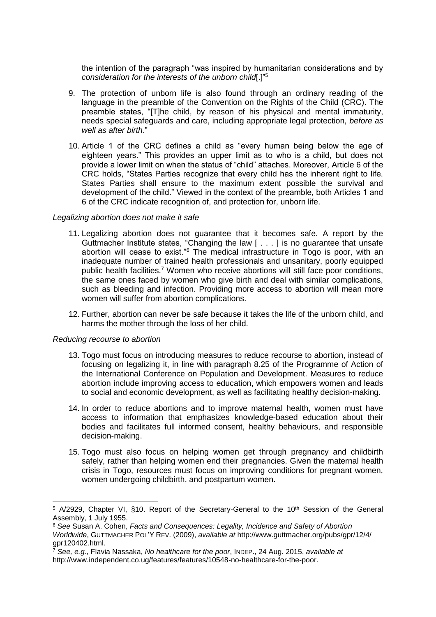the intention of the paragraph "was inspired by humanitarian considerations and by *consideration for the interests of the unborn child*[.]"<sup>5</sup>

- 9. The protection of unborn life is also found through an ordinary reading of the language in the preamble of the Convention on the Rights of the Child (CRC). The preamble states, "[T]he child, by reason of his physical and mental immaturity, needs special safeguards and care, including appropriate legal protection, *before as well as after birth*."
- 10. Article 1 of the CRC defines a child as "every human being below the age of eighteen years." This provides an upper limit as to who is a child, but does not provide a lower limit on when the status of "child" attaches. Moreover, Article 6 of the CRC holds, "States Parties recognize that every child has the inherent right to life. States Parties shall ensure to the maximum extent possible the survival and development of the child." Viewed in the context of the preamble, both Articles 1 and 6 of the CRC indicate recognition of, and protection for, unborn life.

#### *Legalizing abortion does not make it safe*

- 11. Legalizing abortion does not guarantee that it becomes safe. A report by the Guttmacher Institute states, "Changing the law [ . . . ] is no guarantee that unsafe abortion will cease to exist."<sup>6</sup> The medical infrastructure in Togo is poor, with an inadequate number of trained health professionals and unsanitary, poorly equipped public health facilities.<sup>7</sup> Women who receive abortions will still face poor conditions, the same ones faced by women who give birth and deal with similar complications, such as bleeding and infection. Providing more access to abortion will mean more women will suffer from abortion complications.
- 12. Further, abortion can never be safe because it takes the life of the unborn child, and harms the mother through the loss of her child.

#### *Reducing recourse to abortion*

1

- 13. Togo must focus on introducing measures to reduce recourse to abortion, instead of focusing on legalizing it, in line with paragraph 8.25 of the Programme of Action of the International Conference on Population and Development. Measures to reduce abortion include improving access to education, which empowers women and leads to social and economic development, as well as facilitating healthy decision-making.
- 14. In order to reduce abortions and to improve maternal health, women must have access to information that emphasizes knowledge-based education about their bodies and facilitates full informed consent, healthy behaviours, and responsible decision-making.
- 15. Togo must also focus on helping women get through pregnancy and childbirth safely, rather than helping women end their pregnancies. Given the maternal health crisis in Togo, resources must focus on improving conditions for pregnant women, women undergoing childbirth, and postpartum women.

<sup>&</sup>lt;sup>5</sup> A/2929, Chapter VI, §10. Report of the Secretary-General to the 10<sup>th</sup> Session of the General Assembly, 1 July 1955.

<sup>6</sup> *See* Susan A. Cohen, *Facts and Consequences: Legality, Incidence and Safety of Abortion Worldwide*, GUTTMACHER POL'Y REV. (2009), *available at* http://www.guttmacher.org/pubs/gpr/12/4/ gpr120402.html.

<sup>7</sup> *See, e.g.,* Flavia Nassaka, *No healthcare for the poor*, INDEP., 24 Aug. 2015, *available at* http://www.independent.co.ug/features/features/10548-no-healthcare-for-the-poor.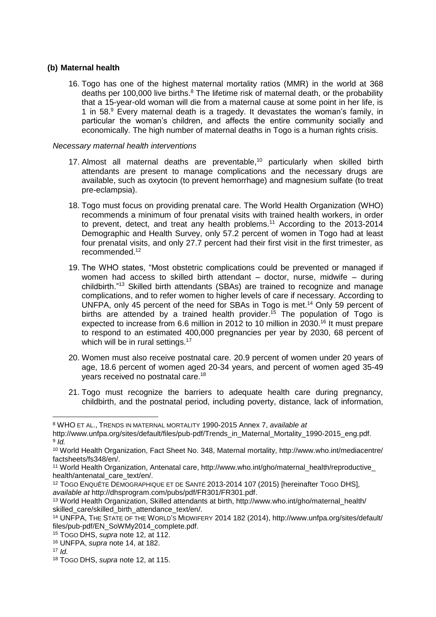## **(b) Maternal health**

16. Togo has one of the highest maternal mortality ratios (MMR) in the world at 368 deaths per 100,000 live births.<sup>8</sup> The lifetime risk of maternal death, or the probability that a 15-year-old woman will die from a maternal cause at some point in her life, is 1 in 58.<sup>9</sup> Every maternal death is a tragedy. It devastates the woman's family, in particular the woman's children, and affects the entire community socially and economically. The high number of maternal deaths in Togo is a human rights crisis.

## *Necessary maternal health interventions*

- 17. Almost all maternal deaths are preventable,<sup>10</sup> particularly when skilled birth attendants are present to manage complications and the necessary drugs are available, such as oxytocin (to prevent hemorrhage) and magnesium sulfate (to treat pre-eclampsia).
- 18. Togo must focus on providing prenatal care. The World Health Organization (WHO) recommends a minimum of four prenatal visits with trained health workers, in order to prevent, detect, and treat any health problems.<sup>11</sup> According to the 2013-2014 Demographic and Health Survey, only 57.2 percent of women in Togo had at least four prenatal visits, and only 27.7 percent had their first visit in the first trimester, as recommended.<sup>12</sup>
- 19. The WHO states, "Most obstetric complications could be prevented or managed if women had access to skilled birth attendant – doctor, nurse, midwife – during childbirth."<sup>13</sup> Skilled birth attendants (SBAs) are trained to recognize and manage complications, and to refer women to higher levels of care if necessary. According to UNFPA, only 45 percent of the need for SBAs in Togo is met.<sup>14</sup> Only 59 percent of births are attended by a trained health provider.<sup>15</sup> The population of Togo is expected to increase from 6.6 million in 2012 to 10 million in 2030.<sup>16</sup> It must prepare to respond to an estimated 400,000 pregnancies per year by 2030, 68 percent of which will be in rural settings.<sup>17</sup>
- 20. Women must also receive postnatal care. 20.9 percent of women under 20 years of age, 18.6 percent of women aged 20-34 years, and percent of women aged 35-49 years received no postnatal care.<sup>18</sup>
- 21. Togo must recognize the barriers to adequate health care during pregnancy, childbirth, and the postnatal period, including poverty, distance, lack of information,

1

<sup>8</sup> WHO ET AL., TRENDS IN MATERNAL MORTALITY 1990-2015 Annex 7, *available at*

http://www.unfpa.org/sites/default/files/pub-pdf/Trends\_in\_Maternal\_Mortality\_1990-2015\_eng.pdf. 9 *Id.*

<sup>10</sup> World Health Organization, Fact Sheet No. 348, Maternal mortality, http://www.who.int/mediacentre/ factsheets/fs348/en/.

<sup>11</sup> World Health Organization, Antenatal care, http://www.who.int/gho/maternal\_health/reproductive\_ health/antenatal\_care\_text/en/.

<sup>&</sup>lt;sup>12</sup> TOGO ENQUÊTE DÉMOGRAPHIQUE ET DE SANTÉ 2013-2014 107 (2015) [hereinafter TOGO DHS], *available at* http://dhsprogram.com/pubs/pdf/FR301/FR301.pdf.

<sup>13</sup> World Health Organization, Skilled attendants at birth, http://www.who.int/gho/maternal\_health/ skilled care/skilled birth attendance text/en/.

<sup>14</sup> UNFPA, THE STATE OF THE WORLD'S MIDWIFERY 2014 182 (2014), http://www.unfpa.org/sites/default/ files/pub-pdf/EN\_SoWMy2014\_complete.pdf.

<sup>15</sup> TOGO DHS, *supra* note 12, at 112.

<sup>16</sup> UNFPA, *supra* note 14, at 182.

 $17$  *Id.* 

<sup>18</sup> TOGO DHS, *supra* note 12, at 115.